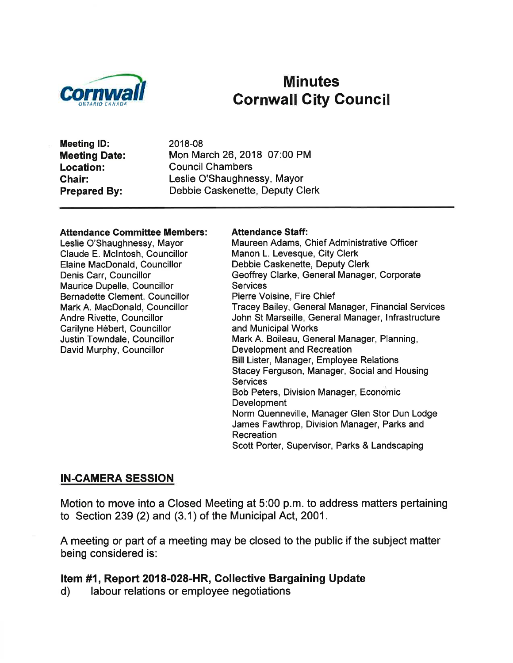

# Minutes **Cornwall City Council**

Meeting lD: Meeting Date: Location: Ghair: Prepared By:

2018-08 Mon March 26, 2018 07:00 PM Council Chambers Leslie O'Shaughnessy, Mayor Debbie Caskenette, Deputy Clerk

#### Attendance Committee Members:

Leslie O'Shaughnessy, Mayor Claude E. Mclntosh, Councillor Elaine MacDonald, Councillor Denis Carr, Councillor Maurice Dupelle, Councillor Bernadette Clement, Councillor Mark A. MacDonald, Councillor Andre Rivette, Councillor Carilyne Hébert, Councillor Justin Towndale, Councillor David Murphy, Councillor

#### Attendance Staff:

Maureen Adams, Chief Administrative Officer Manon L. Levesque, City Clerk Debbie Caskenette, Deputy Clerk Geoffrey Clarke, General Manager, Corporate **Services** Pierre Voisine, Fire Chief Tracey Bailey, General Manager, Financial Services John St Marseille, General Manager, Infrastructure and Municipal Works Mark A. Boileau, General Manager, Planning, Development and Recreation Bill Lister, Manager, Employee Relations Stacey Ferguson, Manager, Social and Housing **Services** Bob Peters, Division Manager, Economic Development Norm Quenneville, Manager Glen Stor Dun Lodge James Fawthrop, Division Manager, Parks and Recreation Scott Porter, Supervisor, Parks & Landscaping

#### IN-CAMERA SESSION

Motion to move into a Closed Meeting at 5:00 p.m. to address matters pertaining to Section 239 (2) and (3.1) of the Municipal Act, 2001.

A meeting or part of a meeting may be closed to the public if the subject matter being considered is:

# Item #1, Report 2018-028-HR, Collective Bargaining Update d) labour relations or employee negotiations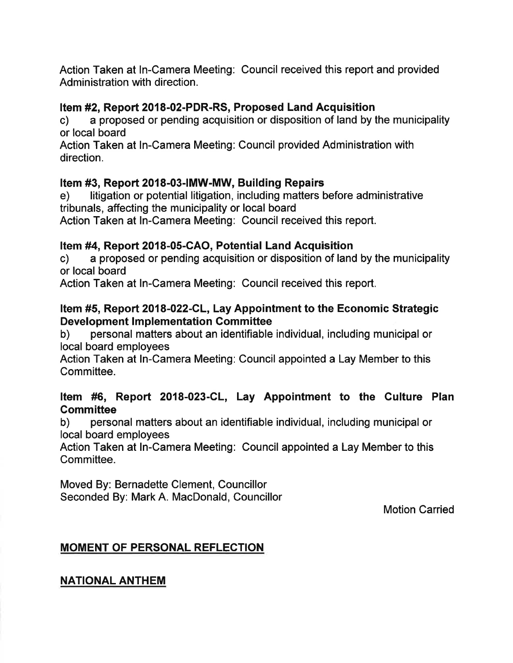Action Taken at ln-Camera Meeting: Council received this report and provided Administration with direction.

# Item #2, Report 2018-02-PDR-RS, Proposed Land Acquisition

c) a proposed or pending acquisition or disposition of land by the municipality or local board

Action Taken at ln-Camera Meeting: Council provided Administration with direction.

### Item #3, Report 2018-03-|MW-MW, Building Repairs

e) litigation or potential litigation, including matters before administrative tribunals, affecting the municipality or local board

Action Taken at In-Camera Meeting: Gouncil received this report.

Item #4, Report 2018-05-GAO, Potential Land Acquisition c) a proposed or pending acquisition or disposition of land by the municipality or local board

Action Taken at In-Camera Meeting: Council received this report.

# Item #5, Report 2018-022-GL, Lay Appointment to the Economic Strategic

Development Implementation Committee<br>b) personal matters about an identifiable individual, including municipal or local board employees

Action Taken at ln-Camera Meeting: Council appointed a Lay Member to this Committee.

# Item #6, Report 2018-023-CL, Lay Appointment to the Culture Plan

Committee<br>b) personal matters about an identifiable individual, including municipal or local board employees

Action Taken at In-Camera Meeting: Council appointed a Lay Member to this Committee.

Moved By: Bernadette Clement, Councillor Seconded By: Mark A. MacDonald, Councillor

Motion Carried

# MOMENT OF PERSONAL REFLECTION

NATIONAL ANTHEM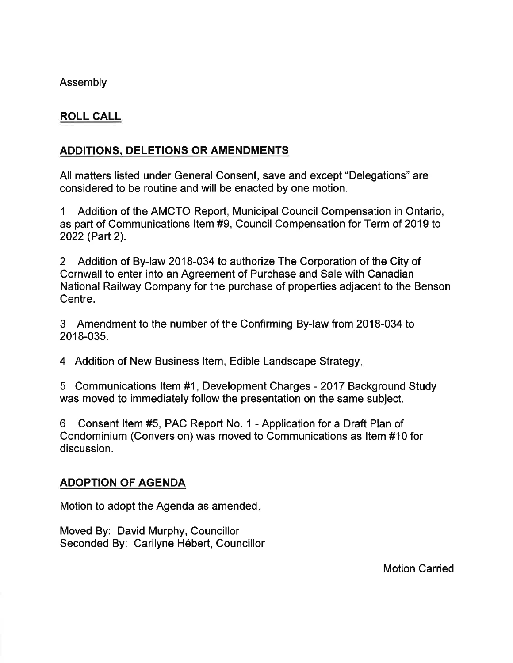Assembly

# ROLL CALL

# ADDITIONS, DELETIONS OR AMENDMENTS

All matters listed under General Consent, save and except "Delegations" are considered to be routine and will be enacted by one motion.

1 Addition of the AMCTO Report, Municipal Council Compensation in Ontario, as part of Communications ltem #9, Council Compensation for Term of 2019 to 2022 (Part 2).

2 Addition of By-law 2018-034 to authorize The Corporation of the City of Cornwall to enter into an Agreement of Purchase and Sale with Canadian National Railway Company for the purchase of properties adjacent to the Benson Centre.

3 Amendment to the number of the Confirming By-law from 2018-034 to 2018-035.

4 Addition of New Business ltem, Edible Landscape Strategy

5 Communications ltem #1, Development Charges - 2017 Background Study was moved to immediately follow the presentation on the same subject.

6 Consent ltem #5, PAC Report No. 1 - Application for a Draft Plan of Condominium (Conversion) was moved to Communications as ltem #10 for discussion.

### ADOPTION OF AGENDA

Motion to adopt the Agenda as amended

Moved By: David Murphy, Councillor Seconded By: Carilyne Hébert, Councillor

Motion Carried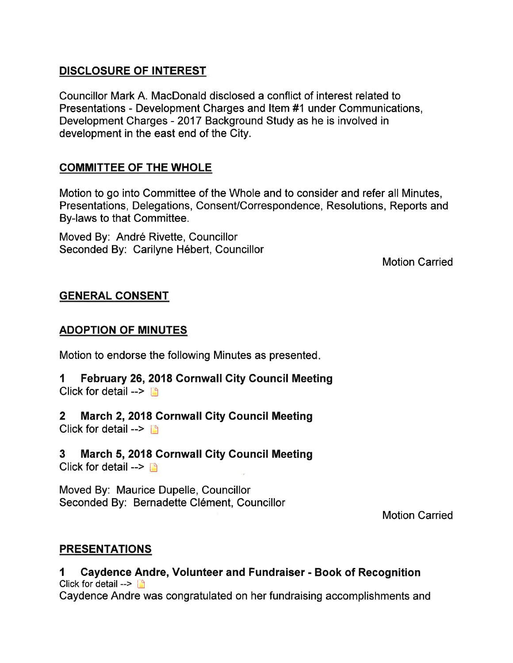# DISCLOSURE OF INTEREST

Councillor Mark A. MacDonald disclosed a conflict of interest related to Presentations - Development Charges and ltem #1 under Communications, Development Charges - 2017 Background Study as he is involved in development in the east end of the City.

# COMMITTEE OF THE WHOLE

Motion to go into Committee of the Whole and to consider and refer all Minutes, Presentations, Delegations, ConsenVCorrespondence, Resolutions, Reports and By-laws to that Committee.

Moved By: André Rivette, Councillor Seconded By: Carilyne Hébert, Councillor

Motion Carried

# GENERAL CONSENT

# ADOPTION OF MINUTES

Motion to endorse the following Minutes as presented

#### 1 February 26,2018 Cornwall City Council Meeting Click for detail  $\rightarrow$   $\Box$

# 2 March 2, 2018 Cornwall City Council Meeting

Click for detail  $\rightarrow$  [4]

3 March 5,2018 Gornwall City Council Meeting Click for detail -->  $\Box$ 

Moved By: Maurice Dupelle, Councillor Seconded By: Bernadette Clément, Councillor

Motion Carried

# **PRESENTATIONS**

1 Gaydence Andre, Volunteer and Fundraiser - Book of Recognition Click for detail -->  $\mathbb{I}^n$ Caydence Andre was congratulated on her fundraising accomplishments and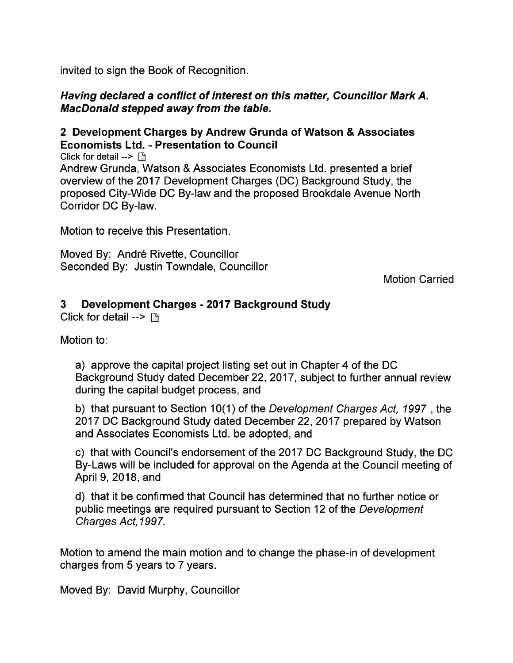invited to sign the Book of Recognition.

#### Having declared a conflict of interest on this matter, Councillor Mark A. MacDonald stepped away from the table.

### 2 Development Gharges by Andrew Grunda of Watson & Associates Economists Ltd. - Presentation to Gouncil

Click for detail  $\rightarrow$   $\uparrow$ Andrew Grunda, Watson & Associates Economists Ltd. presented a brief overview of the 2017 Development Charges (DC) Background Study, the proposed City-Wide DC By-law and the proposed Brookdale Avenue North Corridor DC By-law.

Motion to receive this Presentation.

Moved By: André Rivette, Councillor Seconded By: Justin Towndale, Councillor

Motion Carried

# 3 Development Gharges - 2017 Background Study

Click for detail  $\rightarrow \Box$ 

Motion to:

a) approve the capital project listing set out in Chapter 4 of the DC Background Study dated December 22,2017, subject to further annual review during the capital budget process, and

b) that pursuant to Section 10(1) of the Development Charges Act, 1997 , the 2017 DC Background Study dated December 22,2017 prepared by Watson and Associates Economists Ltd. be adopted, and

c) that with Council's endorsement of the 2017 DC Background Study, the DC By-Laws will be included for approval on the Agenda at the Council meeting of April 9,2018, and

d) that it be confirmed that Council has determined that no further notice or public meetings are required pursuant to Section 12 of the Development Charges Act,1997

Motion to amend the main motion and to change the phase-in of development charges from 5 years to 7 years.

Moved By: David Murphy, Councillor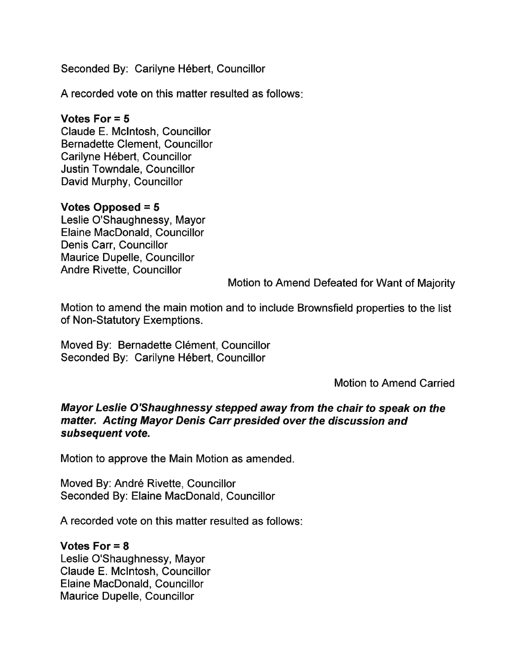Seconded By: Carilyne Hébert, Councillor

A recorded vote on this matter resulted as follows

# Votes For = 5

Claude E. Mclntosh, Councillor Bernadette Clement, Councillor Carilyne Hébert, Councillor Justin Towndale, Councillor David Murphy, Councillor

### Votes Opposed = 5

Leslie O'Shaughnessy, Mayor Elaine MacDonald, Councillor Denis Carr, Councillor Maurice Dupelle, Councillor Andre Rivette, Councillor

Motion to Amend Defeated for Want of Majority

Motion to amend the main motion and to include Brownsfield properties to the list of Non-Statutory Exemptions.

Moved By: Bernadette Clément, Councillor Seconded By: Carilyne Hébert, Councillor

Motion to Amend Carried

#### Mayor Leslie O'Shaughnessy stepped away from the chair to speak on the matter. Acting Mayor Denis Carr presided over the discussion and subseguent vote.

Motion to approve the Main Motion as amended.

Moved By: André Rivette, Councillor Seconded By: Elaine MacDonald, Gouncillor

A recorded vote on this matter resulted as follows:

### Votes For  $= 8$

Leslie O'Shaughnessy, Mayor Claude E. Mclntosh, Councillor Elaine MacDonald, Councillor Maurice Dupelle, Councillor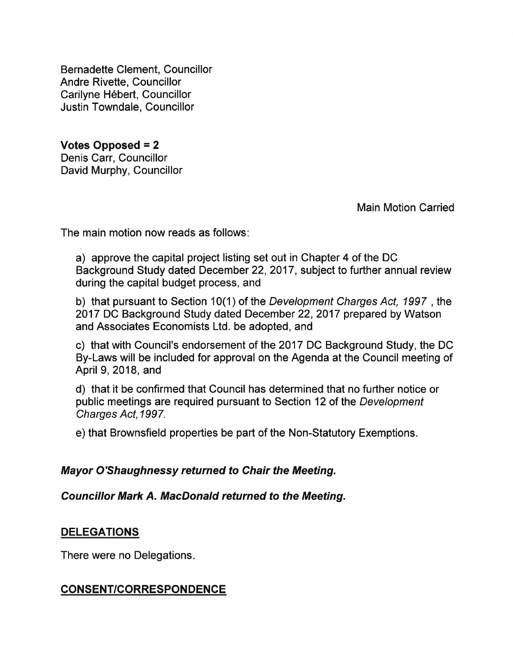Bernadette Clement, Councillor Andre Rivette, Councillor Carilyne Hébert, Councillor Justin Towndale, Councillor

Votes Opposed = 2 Denis Carr, Councillor David Murphy, Councillor

Main Motion Carried

The main motion now reads as follows

a) approve the capital project listing set out in Chapter 4 of the DC Background Study dated December 22,2017, subject to further annual review during the capital budget process, and

b) that pursuant to Section 10(1) of the Development Charges Act, 1997, the 2017 DC Background Study dated December 22,2017 prepared by Watson and Associates Economists Ltd. be adopted, and

c) that with Council's endorsement of the 2017 DC Background Study, the DC By-Laws will be included for approval on the Agenda at the Council meeting of April 9,2018, and

d) that it be confirmed that Council has determined that no further notice or public meetings are required pursuant to Section 12 of the Development Charges Act, 1997.

e) that Brownsfield properties be part of the Non-Statutory Exemptions.

#### Mayor O'Shaughnessy returned to Chair the Meeting.

Councillor Mark A. MacDonald returned to the Meeting.

#### **DELEGATIONS**

There were no Delegations

### CONSENT/CORRESPONDENCE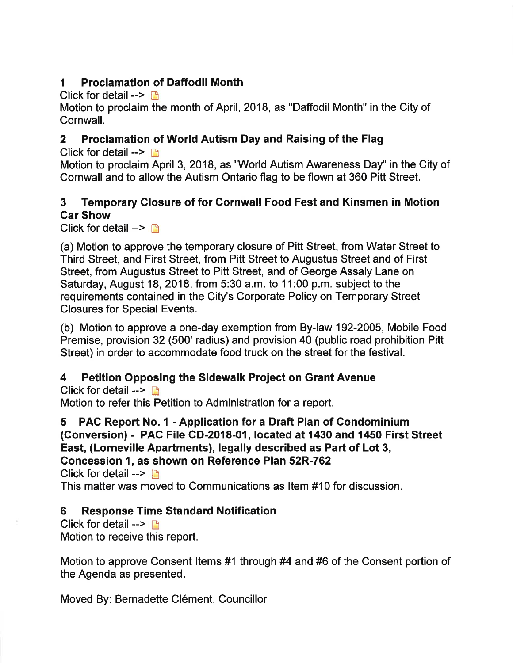# I Proclamation of Daffodil Month

Click for detail  $\rightarrow$  n

Motion to proclaim the month of April, 2018, as "Daffodil Month" in the City of Cornwall.

# 2 Proclamation of World Autism Day and Raising of the Flag

Click for detail  $\rightarrow$  n

Motion to proclaim April 3,2018, as "World Autism Awareness Day" in the City of Cornwall and to allow the Autism Ontario flag to be flown at 360 Pitt Street.

# 3 Temporary Closure of for Gornwall Food Fest and Kinsmen in Motion Gar Show

Click for detail  $\rightarrow \Box$ 

(a) Motion to approve the temporary closure of Pitt Street, from Water Street to Third Street, and First Street, from Pitt Street to Augustus Street and of First Street, from Augustus Street to Pitt Street, and of George Assaly Lane on Saturday, August 18,2018, from 5:30 a.m. to 11:00 p.m. subject to the requirements contained in the City's Corporate Policy on Temporary Street Closures for Special Events.

(b) Motion to approve a one-day exemption from By-law 192-2005, Mobile Food Premise, provision 32 (500' radius) and provision 40 (public road prohibition Pitt Street) in order to accommodate food truck on the street for the festival.

# 4 Petition Opposing the Sidewalk Project on Grant Avenue

Click for detail  $\rightarrow$  n Motion to refer this Petition to Administration for a report.

5 PAC Report No. I - Application for a Draft Plan of Condominium (Conversion) - PAC File CD-2018-01, located at 1430 and 1450 First Street East, (Lorneville Apartments), legally described as Part of Lot 3, Concession 1, as shown on Reference Plan 52R-762 Click for detail  $\rightarrow$ 

This matter was moved to Communications as ltem #10 for discussion.

# 6 Response Time Standard Notification

Click for detail  $\rightarrow$   $\rightarrow$ Motion to receive this report.

Motion to approve Consent ltems #1 through #4 and #6 of the Consent portion of the Agenda as presented.

Moved By: Bernadette Clément, Councillor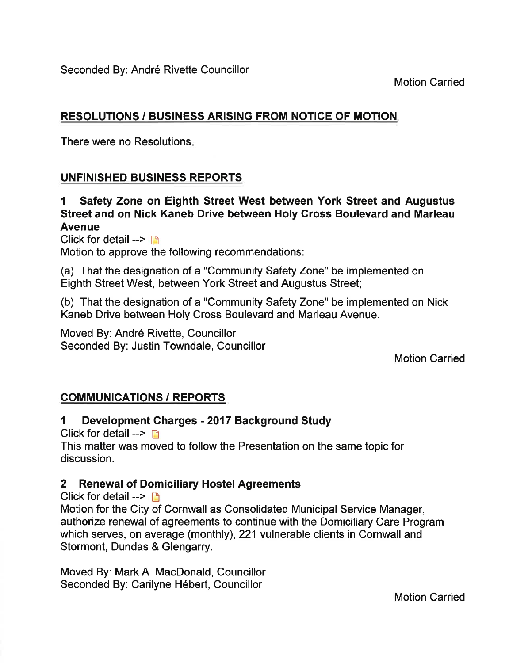Motion Carried

# RESOLUTIONS / BUSINESS ARISING FROM NOTICE OF MOTION

There were no Resolutions

# UNFINISHED BUSINESS REPORTS

# 1 Safety Zone on Eighth Street West between York Street and Augustus Street and on Nick Kaneb Drive between Holy Cross Boulevard and Marleau Avenue

Click for detail  $\rightarrow$  n Motion to approve the following recommendations:

(a) That the designation of a "Community Safety Zone" be implemented on Eighth Street West, between York Street and Augustus Street;

(b) That the designation of a "Community Safety Zone" be implemented on Nlck Kaneb Drive between Holy Cross Boulevard and Marleau Avenue.

Moved By: André Rivette, Councillor Seconded By: Justin Towndale, Councillor

Motion Carried

# COMMUNICATIONS / REPORTS

# 1 Development Charges - 2017 Background Study

Click for detail  $\rightarrow$   $\rightarrow$ 

This matter was moved to follow the Presentation on the same topic for discussion.

# 2 Renewal of Domiciliary Hostel Agreements

Click for detail  $\rightarrow$  n

Motion for the City of Cornwall as Consolidated Municipal Service Manager, authorize renewal of agreements to continue with the Domiciliary Care Program which serves, on average (monthly), 221 vulnerable clients in Cornwall and Stormont, Dundas & Glengarry.

Moved By: Mark A. MacDonald, Councillor Seconded By: Carilyne Hébert, Councillor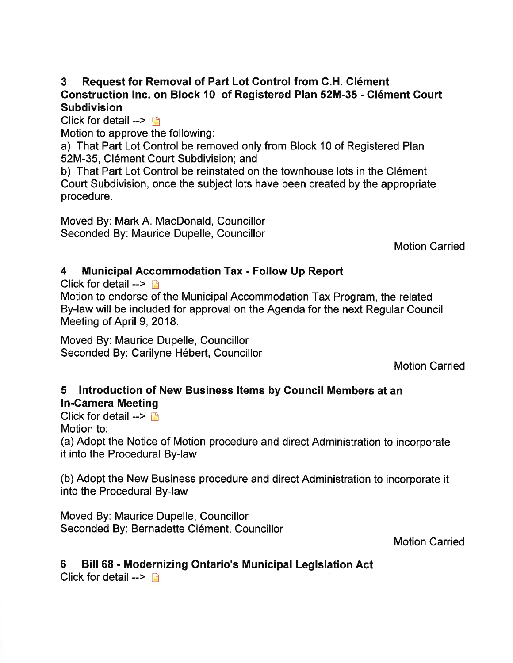# 3 Request for Removal of Part Lot Gontrol from G.H. Clément Construction lnc. on Block l0 of Registered Plan 52M-35 - Clément Court **Subdivision**

Click for detail  $\rightarrow$  is

Motion to approve the following:

a) That Part Lot Control be removed only from Block 10 of Registered Plan 52M-35, Clément Court Subdivision; and

b) That Part Lot Control be reinstated on the townhouse lots in the Clément Court Subdivision, once the subject lots have been created by the appropriate procedure.

Moved By: Mark A. MacDonald, Councillor Seconded By: Maurice Dupelle, Councillor

Motion Carried

# 4 Municipal Accommodation Tax - Follow Up Report

Click for detail  $--$ 

Motion to endorse of the Municipal Accommodation Tax Program, the related By-law will be included for approval on the Agenda for the next Regular Council Meeting of April 9, 2018.

Moved By: Maurice Dupelle, Councillor Seconded By: Carilyne Hébert, Councillor

Motion Carried

# 5 Introduction of New Business ltems by Council Members at an In-Camera Meeting

Click for detail  $\rightarrow$   $\rightarrow$ Motion to:

(a) Adopt the Notice of Motion procedure and direct Administration to incorporate it into the Procedural By-law

(b) Adopt the New Business procedure and direct Administration to incorporate it into the Procedural By-law

Moved By: Maurice Dupelle, Councillor Seconded By: Bernadette Clément, Councillor

Motion Carried

# 6 Bill 68 - Modernizing Ontario's Municipal Legislation Act

Click for detail  $\rightarrow$  n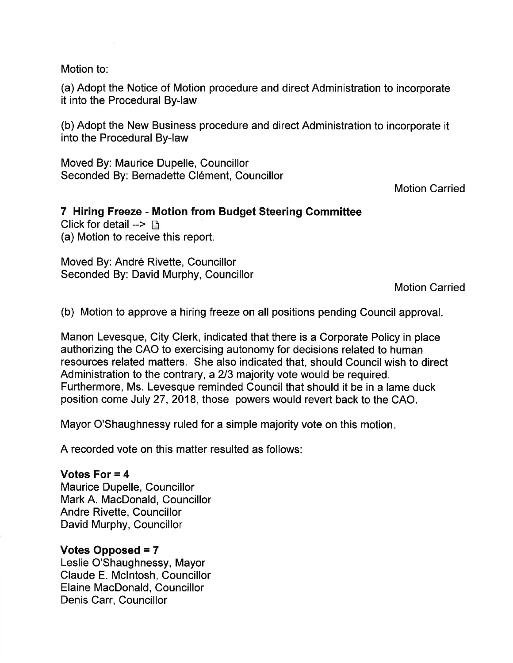Motion to:

(a) Adopt the Notice of Motion procedure and direct Administration to incorporate it into the Procedural By-law

(b) Adopt the New Business procedure and direct Administration to incorporate it into the Procedural By-law

Moved By: Maurice Dupelle, Councillor Seconded By: Bernadette Clément, Councillor

Motion Carried

# 7 Hiring Freeze - Motion from Budget Steering Committee

Click for detail  $\rightarrow$   $\rightarrow$ (a) Motion to receive this report.

Moved By: André Rivette, Councillor Seconded By: David Murphy, Councillor

Motion Carried

(b) Motion to approve a hiring freeze on all positions pending Council approval.

Manon Levesque, City Clerk, indicated that there is a Corporate Policy in place authorizing the CAO to exercising autonomy for decisions related to human resources related matters. She also indicated that, should Gouncil wish to direct Administration to the contrary, a 213 majority vote would be required. Furthermore, Ms. Levesque reminded Council that should it be in a lame duck position come July 27,2018, those powers would revert back to the CAO.

Mayor O'Shaughnessy ruled for a simple majority vote on this motion

A recorded vote on this matter resulted as follows:

#### Votes For = 4

Maurice Dupelle, Councillor Mark A. MacDonald, Councillor Andre Rivette, Councillor David Murphy, Councillor

#### Votes Opposed = 7

Leslie O'Shaughnessy, Mayor Claude E. Mclntosh, Councillor Elaine MacDonald, Councillor Denis Carr, Councillor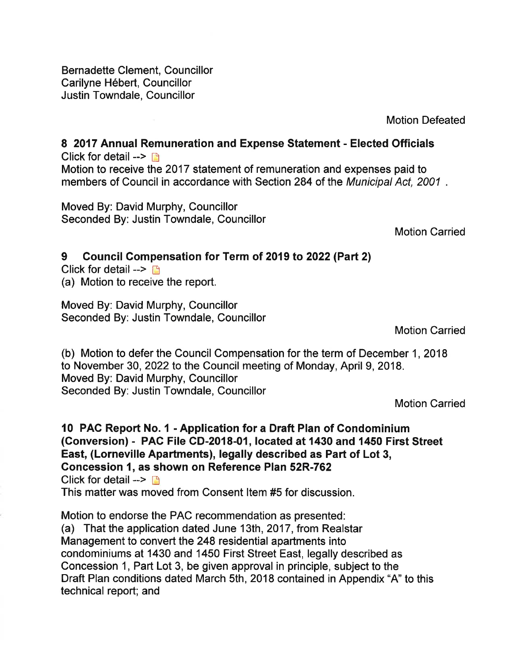Bernadette Clement, Councillor Carilyne Hébert, Councillor Justin Towndale, Councillor

Motion Defeated

8 2017 Annual Remuneration and Expense Statement - Elected Officials Click for detail  $\rightarrow$  n Motion to receive the 2017 statement of remuneration and expenses paid to members of Council in accordance with Section 284 of the Municipal Act, 2001.

Moved By: David Murphy, Councillor Seconded By: Justin Towndale, Councillor

Motion Carried

# 9 Council Compensation for Term oî 2019 to 2022 (Part 2)

Click for detail  $\rightarrow$  n (a) Motion to receive the report.

Moved By: David Murphy, Councillor Seconded By: Justin Towndale, Councillor

Motion Carried

(b) Motion to defer the Council Compensation for the term of December 1,2018 to November 30, 2022 to the Council meeting of Monday, April 9, 2018. Moved By: David Murphy, Councillor Seconded By: Justin Towndale, Councillor

Motion Carried

#### l0 PAC Report No. 1 - Application for a Draft Plan of Condominium (Conversion) - PAC File GD-2018-01, located at 1430 and 1450 First Street East, (Lorneville Apartments), legally described as Part of Lot 3, Concession 1, as shown on Reference Plan 52R-762 Click for detail  $\rightarrow$  n This matter was moved from Consent ltem #5 for discussion.

Motion to endorse the PAC recommendation as presented: (a) That the application dated June 13th, 2017, from Realstar Management to convert the 248 residential apartments into condominiums at 1430 and 1450 First Street East, legally described as Concession 1, Part Lot 3, be given approval in principle, subject to the Draft Plan conditions dated March 5th, 2018 contained in Appendix "A" to this technical report; and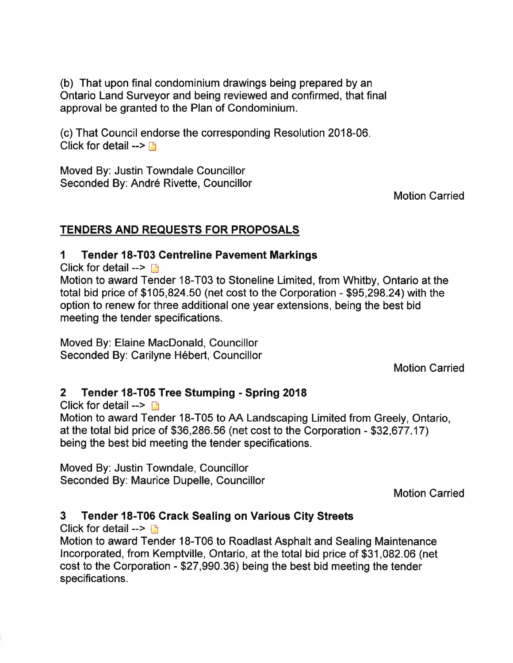(b) That upon final condominium drawings being prepared by an Ontario Land Surveyor and being reviewed and confirmed, that final approval be granted to the Plan of Condominium.

(c) That Council endorse the corresponding Resolution 2018-06. Click for detail  $\rightarrow \rightarrow$ 

Moved By: Justin Towndale Councillor Seconded By: André Rivette, Councillor

Motion Carried

### TENDERS AND REQUESTS FOR PROPOSALS

### 1 Tender 18-T03 Centreline Pavement Markings

Click for detail  $\rightarrow$   $\rightarrow$ 

Motion to award Tender 18-T03 to Stoneline Limited, from Whitby, Ontario at the total bid price of \$105,824.50 (net cost to the Corporation - \$95,298.24) with the option to renew for three additional one year extensions, being the best bid meeting the tender specifications.

Moved By: Elaine MacDonald, Councillor Seconded By: Carilyne Hébert, Councillor

Motion Carried

# 2 Tender 18-T05 Tree Stumping - Spring <sup>2018</sup>

Click for detail  $\rightarrow$  n

Motion to award Tender 18-T05 to AA Landscaping Limited from Greely, Ontario, at the total bid price of \$36,286.56 (net cost to the Corporation - \$32,677.17) being the best bid meeting the tender specifications.

Moved By: Justin Towndale, Councillor Seconded By: Maurice Dupelle, Councillor

Motion Carried

# 3 Tender 18-T06 Grack Sealing on Various Gity Streets

Click for detail  $>$   $\Box$ 

Motion to award Tender 18-T06 to Roadlast Asphalt and Sealing Maintenance lncorporated, from Kemptville, Ontario, at the total bid price of \$31,082.06 (net cost to the Gorporation - \$27,990.36) being the best bid meeting the tender specifications.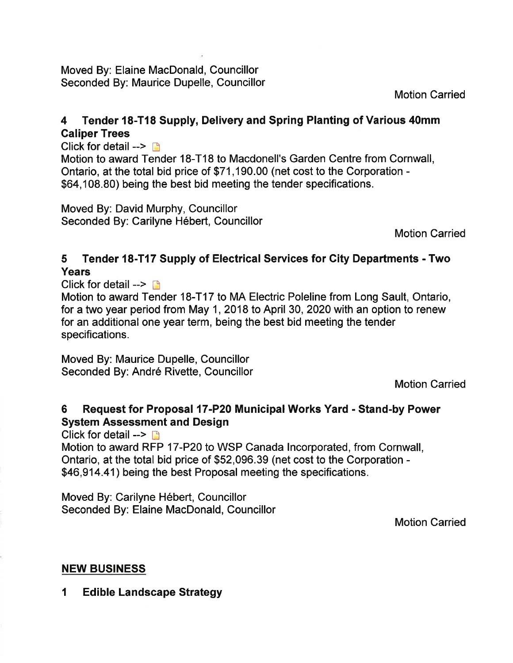Moved By: Elaine MacDonald, Councillor Seconded By: Maurice Dupelle, Councillor

Motion Carried

# 4 Tender 18-T18 Supply, Delivery and Spring Planting of Various 40mm Caliper Trees

Click for detail  $\rightarrow \Box$ 

Motion to award Tender 18-T18 to Macdonell's Garden Centre from Cornwall, Ontario, at the total bid price of \$71 ,190.00 (net cost to the Corporation - \$64,108.80) being the best bid meeting the tender specifications.

Moved By: David Murphy, Councillor Seconded By: Carilyne Hébert, Councillor

Motion Carried

# 5 Tender l8-T17 Supply of Electrical Services for City Departments - Two Years

Click for detail  $\rightarrow$  n

Motion to award Tender 18-T17 to MA Electric Poleline from Long Sault, Ontario, for a two year period from May 1, 2018 to April 30, 2020 with an option to renew for an additional one year term, being the best bid meeting the tender specifications.

Moved By: Maurice Dupelle, Councillor Seconded By: André Rivette, Councillor

Motion Carried

# 6 Request for Proposal 17-P20 Municipal Works Yard - Stand-by Power System Assessment and Design

Click for detail  $\rightarrow$   $\rightarrow$ 

Motion to award RFP 17-P20 to WSP Canada lncorporated, from Cornwall, Ontario, at the total bid price of \$52,096.39 (net cost to the Corporation - \$46,914.41) being the best Proposal meeting the specifications.

Moved By: Carilyne Hébert, Councillor Seconded By: Elaine MacDonald, Councillor

Motion Carried

### NEW BUSINESS

1 Ed¡ble Landscape Strategy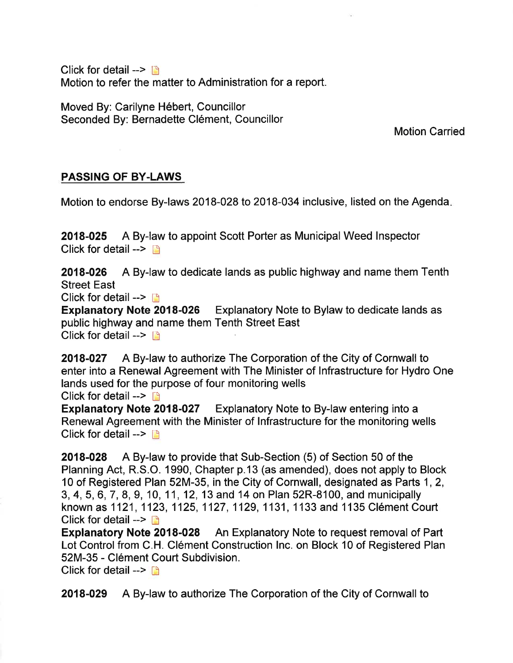Click for detail  $\rightarrow$   $\rightarrow$ Motion to refer the matter to Administration for a report.

Moved By: Carilyne Hébert, Councillor Seconded By: Bernadette Clément, Councillor

Motion Carried

### PASSING OF BY.LAWS

Motion to endorse By-laws 2018-028 to 2018-034 inclusive, listed on the Agenda

2018-025 A By-law to appoint Scott Porter as Municipal Weed lnspector Click for detail  $\rightarrow$  n

2018-026 A By-law to dedicate lands as public highway and name them Tenth Street East

Click for detail  $\rightarrow$  [3]

Explanatory Note 2018-026 Explanatory Note to Bylaw to dedicate lands as public highway and name them Tenth Street East Click for detail  $\rightarrow$   $\rightarrow$ 

2018-027 A By-law to authorize The Corporation of the City of Cornwall to enter into a Renewal Agreement with The Minister of lnfrastructure for Hydro One lands used for the purpose of four monitoring wells

Click for detail  $\rightarrow$  **[6**]

Expfanatory Note 2018-027 Explanatory Note to By-law entering into a Renewal Agreement with the Minister of Infrastructure for the monitoring wells Click for detail  $--$ 

2018-028 A By-law to provide that Sub-Section (5) of Section 50 of the Planning Act, R.S.O. 1990, Chapter p.13 (as amended), does not apply to Block 10 of Registered Plan 52M-35, in the City of Cornwall, designated as Parts 1,2, 3, 4, 5,6,7,8,9, 10, 11, 12, 13 and 14 on Plan 52R-8100, and municipally known as 1 121, 1123, 1125, 1127, 1129, 1131, 1133 and 1 135 Clément Court Click for detail  $\rightarrow$   $\Box$ 

Explanatory Note 2018-028 An Explanatory Note to request removal of Part Lot Control from C.H. Clément Construction Inc. on Block 10 of Registered Plan 52M-35 - Clément Court Subdivision.

Click for detail  $\rightarrow \Box$ 

2018-029 A By-law to authorize The Corporation of the City of Cornwall to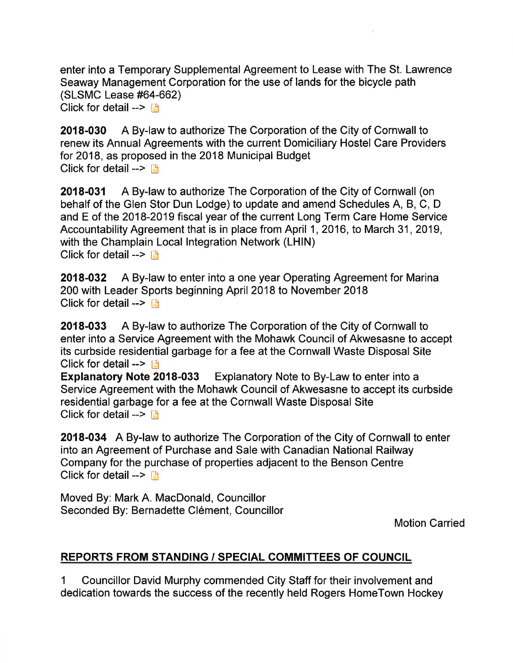enter into a Temporary Supplemental Agreement to Lease with The St. Lawrence Seaway Management Corporation for the use of lands for the bicycle path (SLSMC Lease #64-662) Click for detail  $\leftarrow$ 

2018-030 A By-law to authorize The Corporation of the City of Cornwall to renew its Annual Agreements with the current Domiciliary Hostel Care Providers for 2018, as proposed in the 2018 Municipal Budget Click for detail  $\rightarrow$   $\rightarrow$ 

2018-031 A By-law to authorize The Corporation of the City of Cornwall (on behalf of the Glen Stor Dun Lodge) to update and amend Schedules A, B, C, D and E of the 2018-2019 fiscal year of the current Long Term Care Home Service Accountability Agreement that is in place from April 1, 2016, to March 31, 2019, with the Champlain Local Integration Network (LHIN) Click for detail  $\rightarrow$   $\rightarrow$ 

2018-032 A By-law to enter into a one year Operating Agreement for Marina 200 with Leader Sports beginning April 2018 to November 2018 Click for detail  $--$ 

2018-033 A By-law to authorize The Corporation of the City of Cornwall to enter into a Service Agreement with the Mohawk Council of Akwesasne to accept its curbside residential garbage for a fee at the Cornwall Waste Disposal Site

Click for detail --> **n**<br>Explanatory Note 2018-033 Explanatory Note to By-Law to enter into a Service Agreement with the Mohawk Council of Akwesasne to accept its curbside residential garbage for a fee at the Cornwall Waste Disposal Site Click for detail  $\rightarrow$  D

2018-034 A By-law to authorize The Corporation of the City of Cornwall to enter into an Agreement of Purchase and Sale with Canadian National Railway Company for the purchase of properties adjacent to the Benson Centre Click for detail  $>$  [f]

Moved By: Mark A. MacDonald, Councillor Seconded By: Bernadette Clément, Councillor

Motion Carried

# REPORTS FROM STANDING / SPECIAL COMMITTEES OF COUNGIL

1 Councillor David Murphy commended City Staff for their involvement and dedication towards the success of the recently held Rogers HomeTown Hockey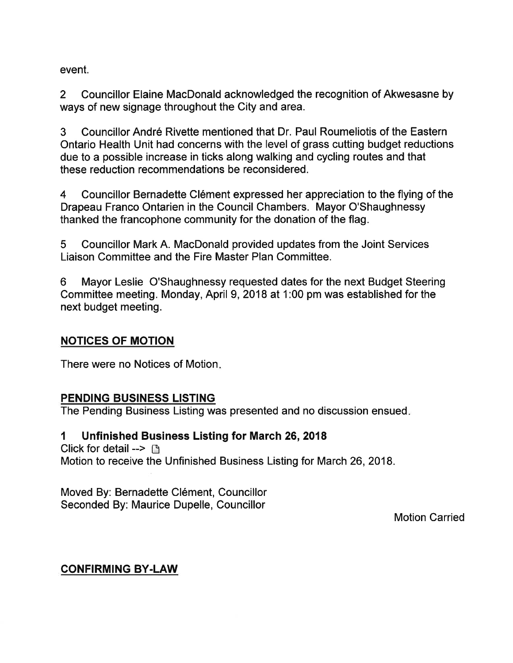event.

2 Councillor Elaine MacDonald acknowledged the recognition of Akwesasne by ways of new signage throughout the City and area.

3 Councillor André Rivette mentioned that Dr. Paul Roumeliotis of the Eastern Ontario Health Unit had concerns with the level of grass cutting budget reductions due to a possible increase in ticks along walking and cycling routes and that these reduction recommendations be reconsidered.

4 Councillor Bernadette Clément expressed her appreciation to the flying of the Drapeau Franco Ontarien in the Council Chambers. Mayor O'Shaughnessy thanked the francophone community for the donation of the flag.

5 Councillor Mark A. MacDonald provided updates from the Joint Services Liaison Committee and the Fire Master Plan Committee.

6 Mayor Leslie O'Shaughnessy requested dates for the next Budget Steering Committee meeting. Monday, April 9,2018 at 1:00 pm was established forthe next budget meeting.

### NOTICES OF MOTION

There were no Notices of Motion

### PENDING BUSINESS LISTING

The Pending Business Listing was presented and no discussion ensued

### 1 Unfinished Business Listing for March 26,2018

Click for detail  $\rightarrow$   $\Box$ Motion to receive the Unfinished Business Listing for March 26,2018.

Moved By: Bernadette Clément, Councillor Seconded By: Maurice Dupelle, Councillor

Motion Carried

### CONFIRMING BY.LAW